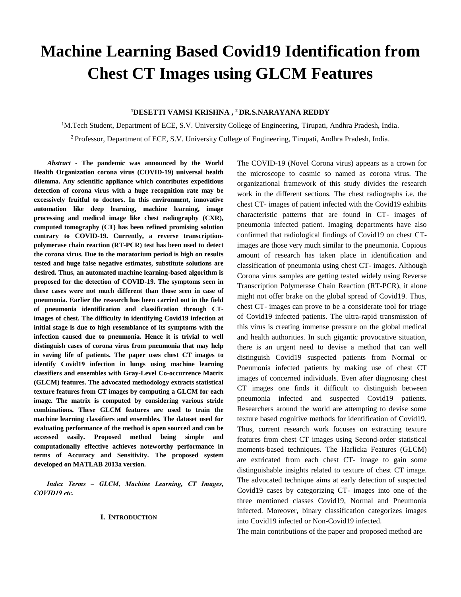# **Machine Learning Based Covid19 Identification from Chest CT Images using GLCM Features**

## **<sup>1</sup>DESETTI VAMSI KRISHNA , <sup>2</sup>DR.S.NARAYANA REDDY**

<sup>1</sup>M.Tech Student, Department of ECE, S.V. University College of Engineering, Tirupati, Andhra Pradesh, India. <sup>2</sup>Professor, Department of ECE, S.V. University College of Engineering, Tirupati, Andhra Pradesh, India.

*Abstract* **- The pandemic was announced by the World Health Organization corona virus (COVID-19) universal health dilemma. Any scientific appliance which contributes expeditious detection of corona virus with a huge recognition rate may be excessively fruitful to doctors. In this environment, innovative automation like deep learning, machine learning, image processing and medical image like chest radiography (CXR), computed tomography (CT) has been refined promising solution contrary to COVID-19. Currently, a reverse transcriptionpolymerase chain reaction (RT-PCR) test has been used to detect the corona virus. Due to the moratorium period is high on results tested and huge false negative estimates, substitute solutions are desired. Thus, an automated machine learning-based algorithm is proposed for the detection of COVID-19. The symptoms seen in these cases were not much different than those seen in case of pneumonia. Earlier the research has been carried out in the field of pneumonia identification and classification through CTimages of chest. The difficulty in identifying Covid19 infection at initial stage is due to high resemblance of its symptoms with the infection caused due to pneumonia. Hence it is trivial to well distinguish cases of corona virus from pneumonia that may help in saving life of patients. The paper uses chest CT images to identify Covid19 infection in lungs using machine learning classifiers and ensembles with Gray-Level Co-occurrence Matrix (GLCM) features. The advocated methodology extracts statistical texture features from CT images by computing a GLCM for each image. The matrix is computed by considering various stride combinations. These GLCM features are used to train the machine learning classifiers and ensembles. The dataset used for evaluating performance of the method is open sourced and can be accessed easily. Proposed method being simple and computationally effective achieves noteworthy performance in terms of Accuracy and Sensitivity. The proposed system developed on MATLAB 2013a version.**

*Index Terms – GLCM, Machine Learning, CT Images, COVID19 etc.*

#### **I. INTRODUCTION**

The COVID-19 (Novel Corona virus) appears as a crown for the microscope to cosmic so named as corona virus. The organizational framework of this study divides the research work in the different sections. The chest radiographs i.e. the chest CT- images of patient infected with the Covid19 exhibits characteristic patterns that are found in CT- images of pneumonia infected patient. Imaging departments have also confirmed that radiological findings of Covid19 on chest CTimages are those very much similar to the pneumonia. Copious amount of research has taken place in identification and classification of pneumonia using chest CT- images. Although Corona virus samples are getting tested widely using Reverse Transcription Polymerase Chain Reaction (RT-PCR), it alone might not offer brake on the global spread of Covid19. Thus, chest CT- images can prove to be a considerate tool for triage of Covid19 infected patients. The ultra-rapid transmission of this virus is creating immense pressure on the global medical and health authorities. In such gigantic provocative situation, there is an urgent need to devise a method that can well distinguish Covid19 suspected patients from Normal or Pneumonia infected patients by making use of chest CT images of concerned individuals. Even after diagnosing chest CT images one finds it difficult to distinguish between pneumonia infected and suspected Covid19 patients. Researchers around the world are attempting to devise some texture based cognitive methods for identification of Covid19. Thus, current research work focuses on extracting texture features from chest CT images using Second-order statistical moments-based techniques. The Harlicka Features (GLCM) are extricated from each chest CT- image to gain some distinguishable insights related to texture of chest CT image. The advocated technique aims at early detection of suspected Covid19 cases by categorizing CT- images into one of the three mentioned classes Covid19, Normal and Pneumonia infected. Moreover, binary classification categorizes images into Covid19 infected or Non-Covid19 infected.

The main contributions of the paper and proposed method are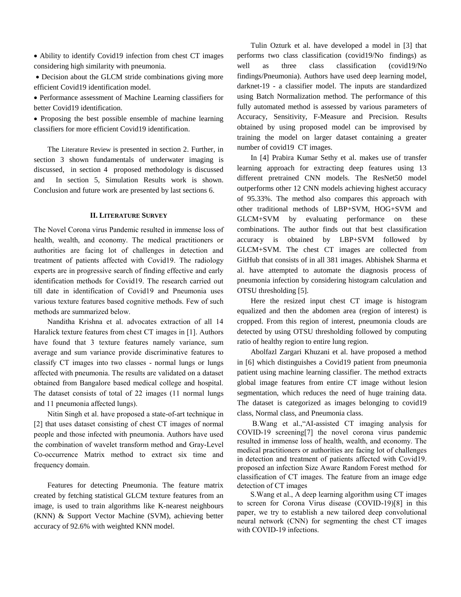Ability to identify Covid19 infection from chest CT images considering high similarity with pneumonia.

• Decision about the GLCM stride combinations giving more efficient Covid19 identification model.

 Performance assessment of Machine Learning classifiers for better Covid19 identification.

• Proposing the best possible ensemble of machine learning classifiers for more efficient Covid19 identification.

The Literature Review is presented in section 2. Further, in section 3 shown fundamentals of underwater imaging is discussed, in section 4 proposed methodology is discussed and In section 5, Simulation Results work is shown. Conclusion and future work are presented by last sections 6.

## **II. LITERATURE SURVEY**

The Novel Corona virus Pandemic resulted in immense loss of health, wealth, and economy. The medical practitioners or authorities are facing lot of challenges in detection and treatment of patients affected with Covid19. The radiology experts are in progressive search of finding effective and early identification methods for Covid19. The research carried out till date in identification of Covid19 and Pneumonia uses various texture features based cognitive methods. Few of such methods are summarized below.

Nanditha Krishna et al. advocates extraction of all 14 Haralick texture features from chest CT images in [1]. Authors have found that 3 texture features namely variance, sum average and sum variance provide discriminative features to classify CT images into two classes - normal lungs or lungs affected with pneumonia. The results are validated on a dataset obtained from Bangalore based medical college and hospital. The dataset consists of total of 22 images (11 normal lungs and 11 pneumonia affected lungs).

Nitin Singh et al. have proposed a state-of-art technique in [2] that uses dataset consisting of chest CT images of normal people and those infected with pneumonia. Authors have used the combination of wavelet transform method and Gray-Level Co-occurrence Matrix method to extract six time and frequency domain.

Features for detecting Pneumonia. The feature matrix created by fetching statistical GLCM texture features from an image, is used to train algorithms like K-nearest neighbours (KNN) & Support Vector Machine (SVM), achieving better accuracy of 92.6% with weighted KNN model.

Tulin Ozturk et al. have developed a model in [3] that performs two class classification (covid19/No-findings) as well as three class classification (covid19/No findings/Pneumonia). Authors have used deep learning model, darknet-19 - a classifier model. The inputs are standardized using Batch Normalization method. The performance of this fully automated method is assessed by various parameters of Accuracy, Sensitivity, F-Measure and Precision. Results obtained by using proposed model can be improvised by training the model on larger dataset containing a greater number of covid19 CT images.

In [4] Prabira Kumar Sethy et al. makes use of transfer learning approach for extracting deep features using 13 different pretrained CNN models. The ResNet50 model outperforms other 12 CNN models achieving highest accuracy of 95.33%. The method also compares this approach with other traditional methods of LBP+SVM, HOG+SVM and GLCM+SVM by evaluating performance on these combinations. The author finds out that best classification accuracy is obtained by LBP+SVM followed by GLCM+SVM. The chest CT images are collected from GitHub that consists of in all 381 images. Abhishek Sharma et al. have attempted to automate the diagnosis process of pneumonia infection by considering histogram calculation and OTSU thresholding [5].

Here the resized input chest CT image is histogram equalized and then the abdomen area (region of interest) is cropped. From this region of interest, pneumonia clouds are detected by using OTSU thresholding followed by computing ratio of healthy region to entire lung region.

Abolfazl Zargari Khuzani et al. have proposed a method in [6] which distinguishes a Covid19 patient from pneumonia patient using machine learning classifier. The method extracts global image features from entire CT image without lesion segmentation, which reduces the need of huge training data. The dataset is categorized as images belonging to covid19 class, Normal class, and Pneumonia class.

 B.Wang et al.,"AI-assisted CT imaging analysis for COVID-19 screening[7] the novel corona virus pandemic resulted in immense loss of health, wealth, and economy. The medical practitioners or authorities are facing lot of challenges in detection and treatment of patients affected with Covid19. proposed an infection Size Aware Random Forest method for classification of CT images. The feature from an image edge detection of CT images

 S.Wang et al., A deep learning algorithm using CT images to screen for Corona Virus disease (COVID-19)[8] in this paper, we try to establish a new tailored deep convolutional neural network (CNN) for segmenting the chest CT images with COVID-19 infections.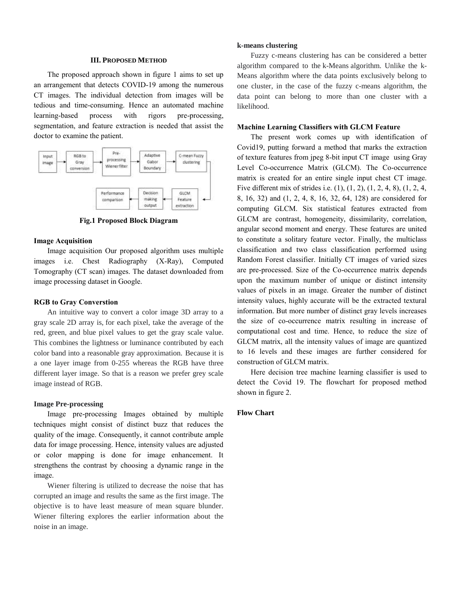#### **III. PROPOSED METHOD**

The proposed approach shown in figure 1 aims to set up an arrangement that detects COVID-19 among the numerous CT images. The individual detection from images will be tedious and time-consuming. Hence an automated machine learning-based process with rigors pre-processing, segmentation, and feature extraction is needed that assist the doctor to examine the patient.



**Fig.1 Proposed Block Diagram**

#### **Image Acquisition**

Image acquisition Our proposed algorithm uses multiple images i.e. Chest Radiography (X-Ray), Computed Tomography (CT scan) images. The dataset downloaded from image processing dataset in Google.

#### **RGB to Gray Converstion**

An intuitive way to convert a color image 3D array to a gray scale 2D array is, for each pixel, take the average of the red, green, and blue pixel values to get the gray scale value. This combines the lightness or luminance contributed by each color band into a reasonable gray approximation. Because it is a one layer image from 0-255 whereas the RGB have three different layer image. So that is a reason we prefer grey scale image instead of RGB.

#### **Image Pre-processing**

Image pre-processing Images obtained by multiple techniques might consist of distinct buzz that reduces the quality of the image. Consequently, it cannot contribute ample data for image processing. Hence, intensity values are adjusted or color mapping is done for image enhancement. It strengthens the contrast by choosing a dynamic range in the image.

Wiener filtering is utilized to decrease the noise that has corrupted an image and results the same as the first image. The objective is to have least measure of mean square blunder. Wiener filtering explores the earlier information about the noise in an image.

### **k-means clustering**

Fuzzy c-means clustering has can be considered a better algorithm compared to the k-Means algorithm. Unlike the k-Means algorithm where the data points exclusively belong to one cluster, in the case of the fuzzy c-means algorithm, the data point can belong to more than one cluster with a likelihood.

#### **Machine Learning Classifiers with GLCM Feature**

The present work comes up with identification of Covid19, putting forward a method that marks the extraction of texture features from jpeg 8-bit input CT image using Gray Level Co-occurrence Matrix (GLCM). The Co-occurrence matrix is created for an entire single input chest CT image. Five different mix of strides i.e. (1), (1, 2), (1, 2, 4, 8), (1, 2, 4, 8, 16, 32) and (1, 2, 4, 8, 16, 32, 64, 128) are considered for computing GLCM. Six statistical features extracted from GLCM are contrast, homogeneity, dissimilarity, correlation, angular second moment and energy. These features are united to constitute a solitary feature vector. Finally, the multiclass classification and two class classification performed using Random Forest classifier. Initially CT images of varied sizes are pre-processed. Size of the Co-occurrence matrix depends upon the maximum number of unique or distinct intensity values of pixels in an image. Greater the number of distinct intensity values, highly accurate will be the extracted textural information. But more number of distinct gray levels increases the size of co-occurrence matrix resulting in increase of computational cost and time. Hence, to reduce the size of GLCM matrix, all the intensity values of image are quantized to 16 levels and these images are further considered for construction of GLCM matrix.

Here decision tree machine learning classifier is used to detect the Covid 19. The flowchart for proposed method shown in figure 2.

## **Flow Chart**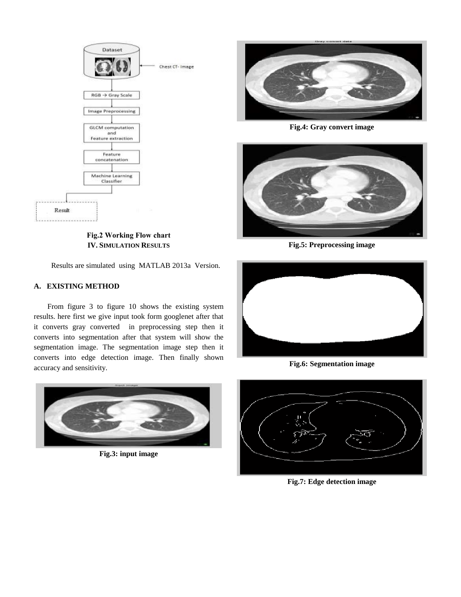

**Fig.2 Working Flow chart IV. SIMULATION RESULTS**

Results are simulated using MATLAB 2013a Version.

# **A. EXISTING METHOD**

From figure 3 to figure 10 shows the existing system results. here first we give input took form googlenet after that it converts gray converted in preprocessing step then it converts into segmentation after that system will show the segmentation image. The segmentation image step then it converts into edge detection image. Then finally shown accuracy and sensitivity.



**Fig.3: input image**



**Fig.4: Gray convert image**



**Fig.5: Preprocessing image**



**Fig.6: Segmentation image**



**Fig.7: Edge detection image**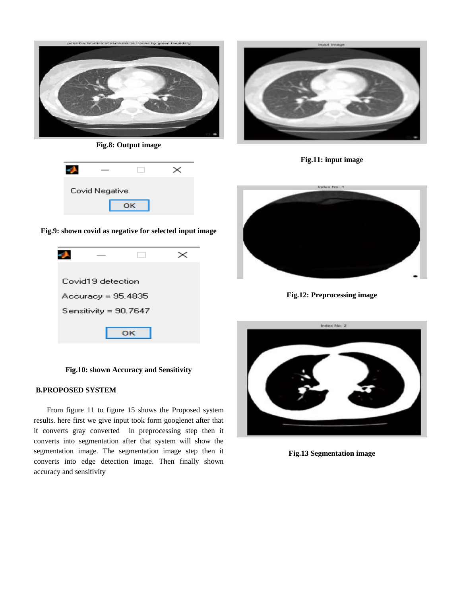

**Fig.8: Output image**

| Covid Negative |  |  |  |
|----------------|--|--|--|
|                |  |  |  |

**Fig.9: shown covid as negative for selected input image**



**Fig.10: shown Accuracy and Sensitivity**

# **B.PROPOSED SYSTEM**

From figure 11 to figure 15 shows the Proposed system results. here first we give input took form googlenet after that it converts gray converted in preprocessing step then it converts into segmentation after that system will show the segmentation image. The segmentation image step then it converts into edge detection image. Then finally shown accuracy and sensitivity



**Fig.11: input image**



**Fig.12: Preprocessing image**



**Fig.13 Segmentation image**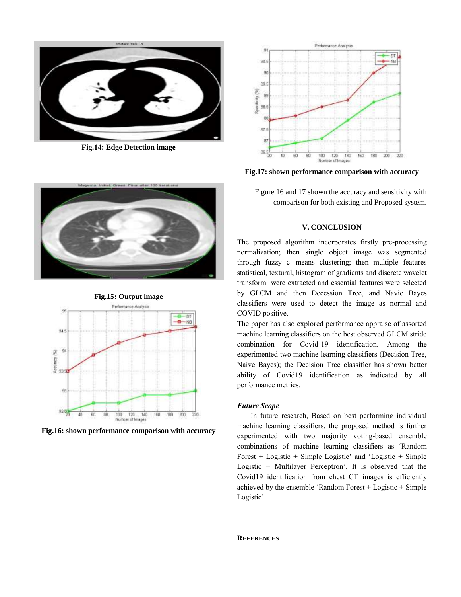

**Fig.14: Edge Detection image**



**Fig.17: shown performance comparison with accuracy** 



#### **V. CONCLUSION**

The proposed algorithm incorporates firstly pre-processing normalization; then single object image was segmented through fuzzy c-means clustering; then multiple features statistical, textural, histogram of gradients and discrete wavelet transform were extracted and essential features were selected by GLCM and then Decession Tree, and Navie Bayes classifiers were used to detect the image as normal and COVID positive.

The paper has also explored performance appraise of assorted machine learning classifiers on the best observed GLCM stride combination for Covid-19 identification. Among the experimented two machine learning classifiers (Decision Tree, Naive Bayes); the Decision Tree classifier has shown better ability of Covid19 identification as indicated by all performance metrics.

## *Future Scope*

In future research, Based on best performing individual machine learning classifiers, the proposed method is further experimented with two majority voting-based ensemble combinations of machine learning classifiers as 'Random Forest + Logistic + Simple Logistic' and 'Logistic + Simple Logistic + Multilayer Perceptron'. It is observed that the Covid19 identification from chest CT images is efficiently achieved by the ensemble 'Random Forest + Logistic + Simple Logistic'.





**Fig.16: shown performance comparison with accuracy**